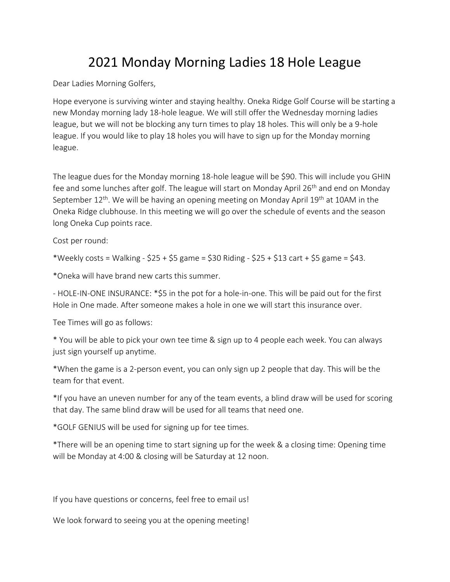## 2021 Monday Morning Ladies 18 Hole League

Dear Ladies Morning Golfers,

Hope everyone is surviving winter and staying healthy. Oneka Ridge Golf Course will be starting a new Monday morning lady 18-hole league. We will still offer the Wednesday morning ladies league, but we will not be blocking any turn times to play 18 holes. This will only be a 9-hole league. If you would like to play 18 holes you will have to sign up for the Monday morning league.

The league dues for the Monday morning 18-hole league will be \$90. This will include you GHIN fee and some lunches after golf. The league will start on Monday April 26<sup>th</sup> and end on Monday September  $12<sup>th</sup>$ . We will be having an opening meeting on Monday April 19<sup>th</sup> at 10AM in the Oneka Ridge clubhouse. In this meeting we will go over the schedule of events and the season long Oneka Cup points race.

Cost per round:

\*Weekly costs = Walking - \$25 + \$5 game = \$30 Riding - \$25 + \$13 cart + \$5 game = \$43.

\*Oneka will have brand new carts this summer.

- HOLE-IN-ONE INSURANCE: \*\$5 in the pot for a hole-in-one. This will be paid out for the first Hole in One made. After someone makes a hole in one we will start this insurance over.

Tee Times will go as follows:

\* You will be able to pick your own tee time & sign up to 4 people each week. You can always just sign yourself up anytime.

\*When the game is a 2-person event, you can only sign up 2 people that day. This will be the team for that event.

\*If you have an uneven number for any of the team events, a blind draw will be used for scoring that day. The same blind draw will be used for all teams that need one.

\*GOLF GENIUS will be used for signing up for tee times.

\*There will be an opening time to start signing up for the week & a closing time: Opening time will be Monday at 4:00 & closing will be Saturday at 12 noon.

If you have questions or concerns, feel free to email us!

We look forward to seeing you at the opening meeting!